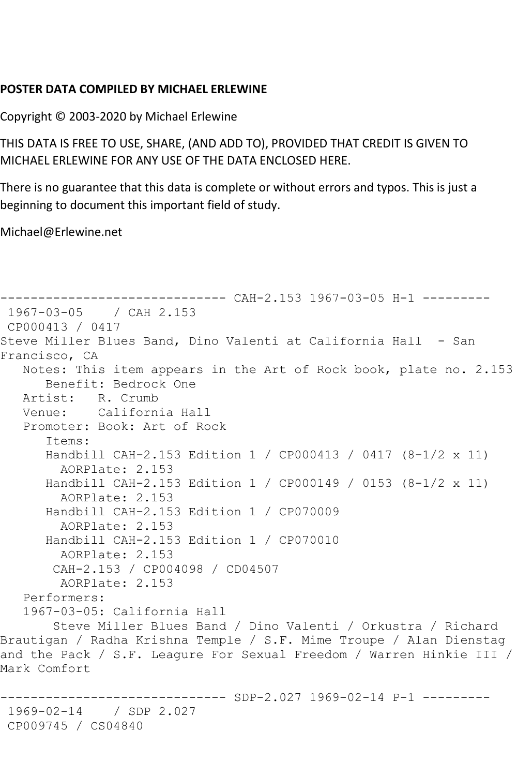## **POSTER DATA COMPILED BY MICHAEL ERLEWINE**

Copyright © 2003-2020 by Michael Erlewine

THIS DATA IS FREE TO USE, SHARE, (AND ADD TO), PROVIDED THAT CREDIT IS GIVEN TO MICHAEL ERLEWINE FOR ANY USE OF THE DATA ENCLOSED HERE.

There is no guarantee that this data is complete or without errors and typos. This is just a beginning to document this important field of study.

Michael@Erlewine.net

```
------------------------------ CAH-2.153 1967-03-05 H-1 ---------
1967-03-05 / CAH 2.153
CP000413 / 0417
Steve Miller Blues Band, Dino Valenti at California Hall - San 
Francisco, CA
   Notes: This item appears in the Art of Rock book, plate no. 2.153
      Benefit: Bedrock One
   Artist: R. Crumb
   Venue: California Hall
   Promoter: Book: Art of Rock
       Items:
      Handbill CAH-2.153 Edition 1 / CP000413 / 0417 (8-1/2 x 11)
         AORPlate: 2.153 
      Handbill CAH-2.153 Edition 1 / CP000149 / 0153 (8-1/2 x 11)
         AORPlate: 2.153 
       Handbill CAH-2.153 Edition 1 / CP070009
        AORPlate: 2.153 
       Handbill CAH-2.153 Edition 1 / CP070010
         AORPlate: 2.153 
        CAH-2.153 / CP004098 / CD04507
         AORPlate: 2.153 
   Performers:
   1967-03-05: California Hall
        Steve Miller Blues Band / Dino Valenti / Orkustra / Richard 
Brautigan / Radha Krishna Temple / S.F. Mime Troupe / Alan Dienstag 
and the Pack / S.F. Leagure For Sexual Freedom / Warren Hinkie III / 
Mark Comfort
                         ------ SDP-2.027 1969-02-14 P-1 ---------
1969-02-14 / SDP 2.027
```
CP009745 / CS04840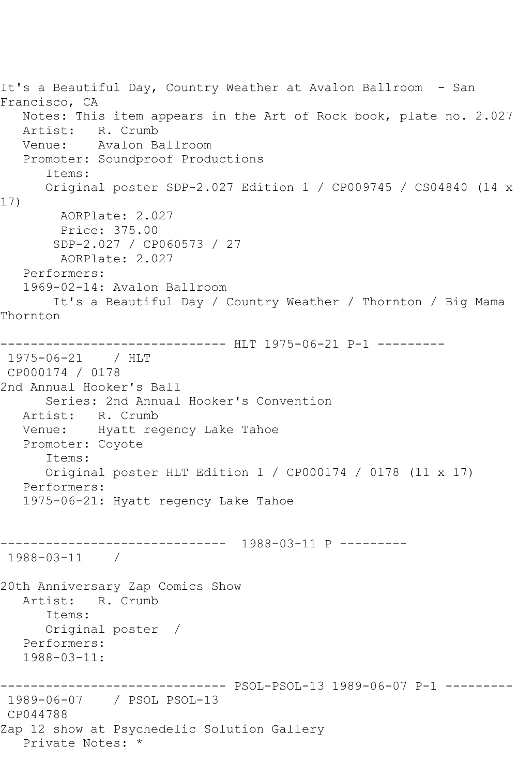It's a Beautiful Day, Country Weather at Avalon Ballroom - San Francisco, CA Notes: This item appears in the Art of Rock book, plate no. 2.027 Artist: R. Crumb<br>Venue: Avalon Ba Avalon Ballroom Promoter: Soundproof Productions Items: Original poster SDP-2.027 Edition 1 / CP009745 / CS04840 (14 x 17) AORPlate: 2.027 Price: 375.00 SDP-2.027 / CP060573 / 27 AORPlate: 2.027 Performers: 1969-02-14: Avalon Ballroom It's a Beautiful Day / Country Weather / Thornton / Big Mama Thornton ------------------------------ HLT 1975-06-21 P-1 --------- 1975-06-21 / HLT CP000174 / 0178 2nd Annual Hooker's Ball Series: 2nd Annual Hooker's Convention Artist: R. Crumb Venue: Hyatt regency Lake Tahoe Promoter: Coyote Items: Original poster HLT Edition 1 / CP000174 / 0178 (11 x 17) Performers: 1975-06-21: Hyatt regency Lake Tahoe ------------------------------ 1988-03-11 P --------- 1988-03-11 / 20th Anniversary Zap Comics Show Artist: R. Crumb Items: Original poster / Performers: 1988-03-11: ------------------------------ PSOL-PSOL-13 1989-06-07 P-1 --------- 1989-06-07 / PSOL PSOL-13 CP044788 Zap 12 show at Psychedelic Solution Gallery Private Notes: \*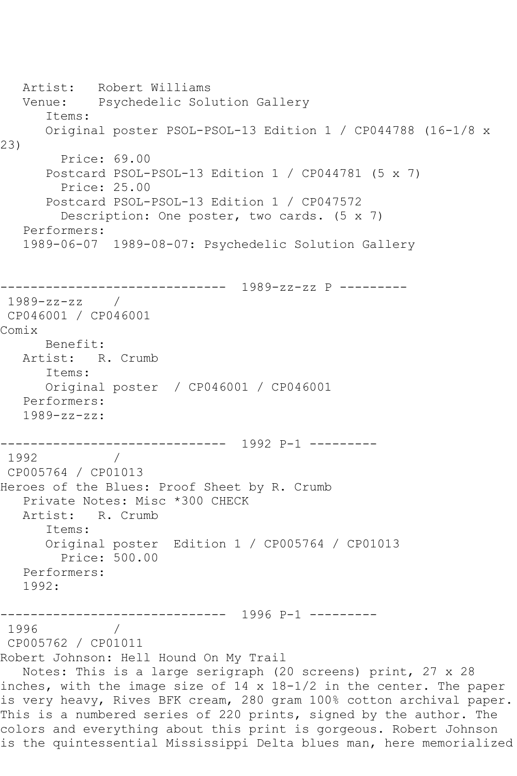Artist: Robert Williams Venue: Psychedelic Solution Gallery Items: Original poster PSOL-PSOL-13 Edition 1 / CP044788 (16-1/8 x 23) Price: 69.00 Postcard PSOL-PSOL-13 Edition 1 / CP044781 (5 x 7) Price: 25.00 Postcard PSOL-PSOL-13 Edition 1 / CP047572 Description: One poster, two cards. (5 x 7) Performers: 1989-06-07 1989-08-07: Psychedelic Solution Gallery ------------------------------ 1989-zz-zz P --------- 1989-zz-zz / CP046001 / CP046001 Comix Benefit: Artist: R. Crumb Items: Original poster / CP046001 / CP046001 Performers: 1989-zz-zz: ------------------------------ 1992 P-1 --------- 1992 CP005764 / CP01013 Heroes of the Blues: Proof Sheet by R. Crumb Private Notes: Misc \*300 CHECK Artist: R. Crumb Items: Original poster Edition 1 / CP005764 / CP01013 Price: 500.00 Performers: 1992: ------------------------------ 1996 P-1 ---------  $\frac{1}{2}$ CP005762 / CP01011 Robert Johnson: Hell Hound On My Trail Notes: This is a large serigraph (20 screens) print, 27 x 28 inches, with the image size of 14 x 18-1/2 in the center. The paper is very heavy, Rives BFK cream, 280 gram 100% cotton archival paper. This is a numbered series of 220 prints, signed by the author. The colors and everything about this print is gorgeous. Robert Johnson is the quintessential Mississippi Delta blues man, here memorialized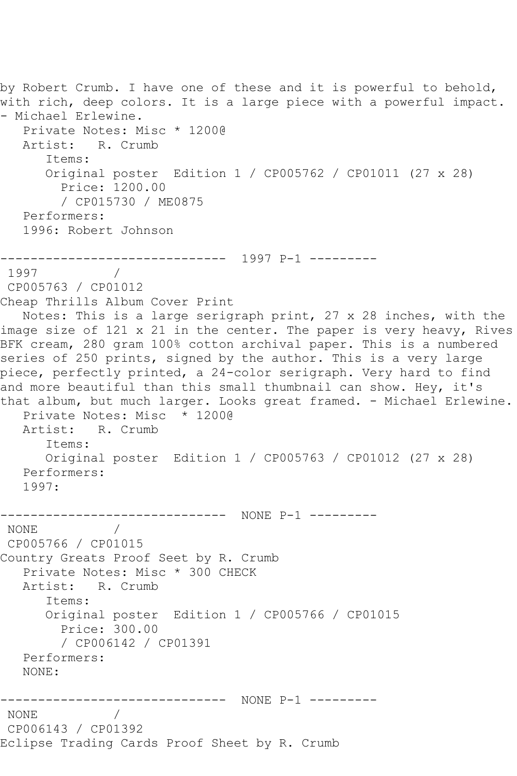```
by Robert Crumb. I have one of these and it is powerful to behold,
with rich, deep colors. It is a large piece with a powerful impact. 
- Michael Erlewine.
   Private Notes: Misc * 1200@
   Artist: R. Crumb
      Items:
      Original poster Edition 1 / CP005762 / CP01011 (27 x 28)
        Price: 1200.00
        / CP015730 / ME0875
   Performers:
   1996: Robert Johnson
     ------------------------------ 1997 P-1 ---------
1997 / 
CP005763 / CP01012
Cheap Thrills Album Cover Print
   Notes: This is a large serigraph print, 27 x 28 inches, with the 
image size of 121 x 21 in the center. The paper is very heavy, Rives
BFK cream, 280 gram 100% cotton archival paper. This is a numbered 
series of 250 prints, signed by the author. This is a very large
piece, perfectly printed, a 24-color serigraph. Very hard to find 
and more beautiful than this small thumbnail can show. Hey, it's 
that album, but much larger. Looks great framed. - Michael Erlewine.
   Private Notes: Misc * 1200@
   Artist: R. Crumb
      Items:
      Original poster Edition 1 / CP005763 / CP01012 (27 x 28)
   Performers:
   1997:
------------------------------ NONE P-1 ---------
 NONE / 
 CP005766 / CP01015
Country Greats Proof Seet by R. Crumb
   Private Notes: Misc * 300 CHECK
   Artist: R. Crumb
      Items:
      Original poster Edition 1 / CP005766 / CP01015
        Price: 300.00
        / CP006142 / CP01391
   Performers:
   NONE:
------------------------------ NONE P-1 ---------
NONE / 
CP006143 / CP01392
Eclipse Trading Cards Proof Sheet by R. Crumb
```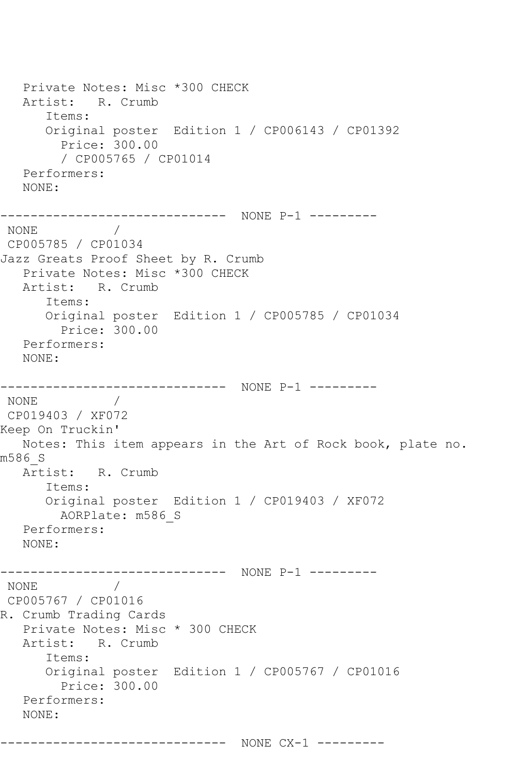Private Notes: Misc \*300 CHECK Artist: R. Crumb Items: Original poster Edition 1 / CP006143 / CP01392 Price: 300.00 / CP005765 / CP01014 Performers: NONE: ------------------------------ NONE P-1 --------- NONE / CP005785 / CP01034 Jazz Greats Proof Sheet by R. Crumb Private Notes: Misc \*300 CHECK Artist: R. Crumb Items: Original poster Edition 1 / CP005785 / CP01034 Price: 300.00 Performers: NONE: ------------------------------ NONE P-1 --------- NONE / CP019403 / XF072 Keep On Truckin' Notes: This item appears in the Art of Rock book, plate no. m586\_S Artist: R. Crumb Items: Original poster Edition 1 / CP019403 / XF072 AORPlate: m586\_S Performers: NONE: ------------------------------ NONE P-1 --------- NONE / CP005767 / CP01016 R. Crumb Trading Cards Private Notes: Misc \* 300 CHECK Artist: R. Crumb Items: Original poster Edition 1 / CP005767 / CP01016 Price: 300.00 Performers: NONE: ------------------------------ NONE CX-1 ---------